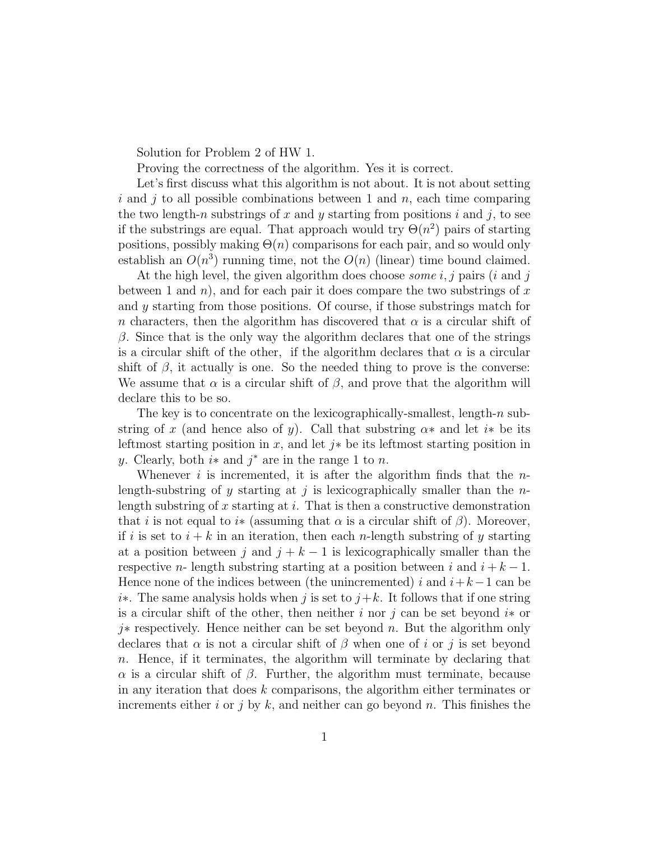Solution for Problem 2 of HW 1.

Proving the correctness of the algorithm. Yes it is correct.

Let's first discuss what this algorithm is not about. It is not about setting i and j to all possible combinations between 1 and  $n$ , each time comparing the two length-n substrings of x and y starting from positions i and j, to see if the substrings are equal. That approach would try  $\Theta(n^2)$  pairs of starting positions, possibly making  $\Theta(n)$  comparisons for each pair, and so would only establish an  $O(n^3)$  running time, not the  $O(n)$  (linear) time bound claimed.

At the high level, the given algorithm does choose *some*  $i, j$  pairs  $(i \text{ and } j$ between 1 and n), and for each pair it does compare the two substrings of x and y starting from those positions. Of course, if those substrings match for n characters, then the algorithm has discovered that  $\alpha$  is a circular shift of β. Since that is the only way the algorithm declares that one of the strings is a circular shift of the other, if the algorithm declares that  $\alpha$  is a circular shift of  $\beta$ , it actually is one. So the needed thing to prove is the converse: We assume that  $\alpha$  is a circular shift of  $\beta$ , and prove that the algorithm will declare this to be so.

The key is to concentrate on the lexicographically-smallest, length- $n$  substring of x (and hence also of y). Call that substring  $\alpha$ \* and let i<sup>\*</sup> be its leftmost starting position in x, and let  $j*$  be its leftmost starting position in y. Clearly, both  $i*$  and  $j*$  are in the range 1 to n.

Whenever i is incremented, it is after the algorithm finds that the  $n$ length-substring of y starting at j is lexicographically smaller than the  $n$ length substring of x starting at i. That is then a constructive demonstration that i is not equal to i<sup>\*</sup> (assuming that  $\alpha$  is a circular shift of  $\beta$ ). Moreover, if i is set to  $i + k$  in an iteration, then each n-length substring of y starting at a position between j and  $j + k - 1$  is lexicographically smaller than the respective *n*- length substring starting at a position between i and  $i + k - 1$ . Hence none of the indices between (the unincremented) i and  $i+k-1$  can be i∗. The same analysis holds when j is set to  $j+k$ . It follows that if one string is a circular shift of the other, then neither i nor j can be set beyond i\* or j∗ respectively. Hence neither can be set beyond n. But the algorithm only declares that  $\alpha$  is not a circular shift of  $\beta$  when one of i or j is set beyond n. Hence, if it terminates, the algorithm will terminate by declaring that  $\alpha$  is a circular shift of  $\beta$ . Further, the algorithm must terminate, because in any iteration that does  $k$  comparisons, the algorithm either terminates or increments either i or j by k, and neither can go beyond n. This finishes the